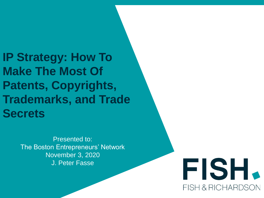**IP Strategy: How To Make The Most Of Patents, Copyrights, Trademarks, and Trade Secrets**

> Presented to: The Boston Entrepreneurs' Network November 3, 2020 J. Peter Fasse

FISH. **FISH & RICHARDSON**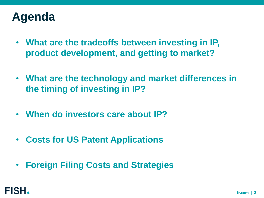# **Agenda**

- **What are the tradeoffs between investing in IP, product development, and getting to market?**
- **What are the technology and market differences in the timing of investing in IP?**
- **When do investors care about IP?**
- **Costs for US Patent Applications**
- **Foreign Filing Costs and Strategies**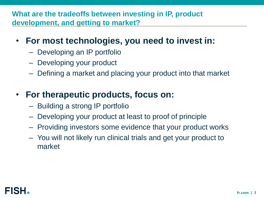**What are the tradeoffs between investing in IP, product development, and getting to market?**

## • **For most technologies, you need to invest in:**

- Developing an IP portfolio
- Developing your product
- Defining a market and placing your product into that market

# • **For therapeutic products, focus on:**

- Building a strong IP portfolio
- Developing your product at least to proof of principle
- Providing investors some evidence that your product works
- You will not likely run clinical trials and get your product to market

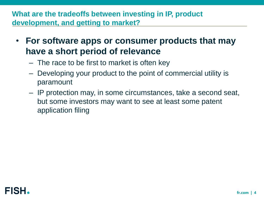## **What are the tradeoffs between investing in IP, product development, and getting to market?**

- **For software apps or consumer products that may have a short period of relevance**
	- The race to be first to market is often key
	- Developing your product to the point of commercial utility is paramount
	- IP protection may, in some circumstances, take a second seat, but some investors may want to see at least some patent application filing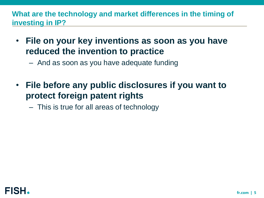**What are the technology and market differences in the timing of investing in IP?**

• **File on your key inventions as soon as you have reduced the invention to practice**

– And as soon as you have adequate funding

• **File before any public disclosures if you want to protect foreign patent rights**

– This is true for all areas of technology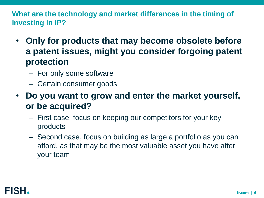## **What are the technology and market differences in the timing of investing in IP?**

- **Only for products that may become obsolete before a patent issues, might you consider forgoing patent protection**
	- For only some software
	- Certain consumer goods
- **Do you want to grow and enter the market yourself, or be acquired?**
	- First case, focus on keeping our competitors for your key products
	- Second case, focus on building as large a portfolio as you can afford, as that may be the most valuable asset you have after your team

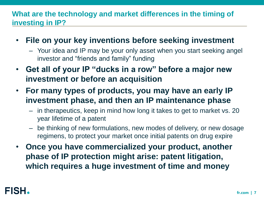## **What are the technology and market differences in the timing of investing in IP?**

- **File on your key inventions before seeking investment**
	- Your idea and IP may be your only asset when you start seeking angel investor and "friends and family" funding
- **Get all of your IP "ducks in a row" before a major new investment or before an acquisition**
- **For many types of products, you may have an early IP investment phase, and then an IP maintenance phase**
	- in therapeutics, keep in mind how long it takes to get to market vs. 20 year lifetime of a patent
	- be thinking of new formulations, new modes of delivery, or new dosage regimens, to protect your market once initial patents on drug expire
- **Once you have commercialized your product, another phase of IP protection might arise: patent litigation, which requires a huge investment of time and money**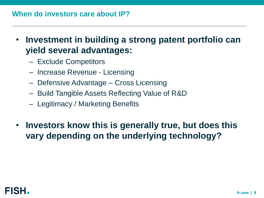### **When do investors care about IP?**

- **Investment in building a strong patent portfolio can yield several advantages:**
	- Exclude Competitors
	- Increase Revenue Licensing
	- Defensive Advantage Cross Licensing
	- Build Tangible Assets Reflecting Value of R&D
	- Legitimacy / Marketing Benefits
- **Investors know this is generally true, but does this vary depending on the underlying technology?**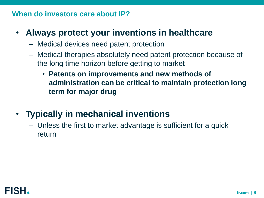## **When do investors care about IP?**

- **Always protect your inventions in healthcare**
	- Medical devices need patent protection
	- Medical therapies absolutely need patent protection because of the long time horizon before getting to market
		- **Patents on improvements and new methods of administration can be critical to maintain protection long term for major drug**
- **Typically in mechanical inventions**
	- Unless the first to market advantage is sufficient for a quick return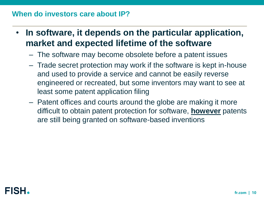#### **When do investors care about IP?**

- **In software, it depends on the particular application, market and expected lifetime of the software**
	- The software may become obsolete before a patent issues
	- Trade secret protection may work if the software is kept in-house and used to provide a service and cannot be easily reverse engineered or recreated, but some inventors may want to see at least some patent application filing
	- Patent offices and courts around the globe are making it more difficult to obtain patent protection for software, **however** patents are still being granted on software-based inventions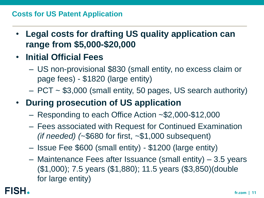#### **Costs for US Patent Application**

- **Legal costs for drafting US quality application can range from \$5,000-\$20,000**
- **Initial Official Fees** 
	- US non-provisional \$830 (small entity, no excess claim or page fees) - \$1820 (large entity)
	- PCT ~ \$3,000 (small entity, 50 pages, US search authority)
- **During prosecution of US application**
	- Responding to each Office Action ~\$2,000-\$12,000
	- Fees associated with Request for Continued Examination *(if needed) (*~\$680 for first, ~\$1,000 subsequent)
	- Issue Fee \$600 (small entity) \$1200 (large entity)
	- Maintenance Fees after Issuance (small entity) 3.5 years (\$1,000); 7.5 years (\$1,880); 11.5 years (\$3,850)(double for large entity)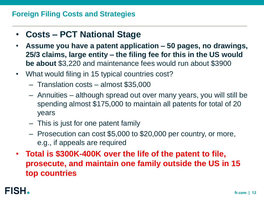# • **Costs – PCT National Stage**

- **Assume you have a patent application – 50 pages, no drawings, 25/3 claims, large entity – the filing fee for this in the US would be about** \$3,220 and maintenance fees would run about \$3900
- What would filing in 15 typical countries cost?
	- Translation costs almost \$35,000
	- Annuities although spread out over many years, you will still be spending almost \$175,000 to maintain all patents for total of 20 years
	- This is just for one patent family
	- Prosecution can cost \$5,000 to \$20,000 per country, or more, e.g., if appeals are required
- **Total is \$300K-400K over the life of the patent to file, prosecute, and maintain one family outside the US in 15 top countries**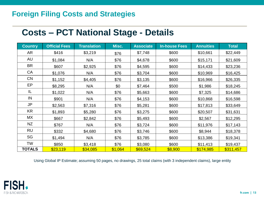## **Costs – PCT National Stage - Details**

| <b>Country</b> | <b>Official Fees</b> | <b>Translation</b> | Misc.   | <b>Associate</b> | <b>In-house Fees</b> | <b>Annuities</b> | <b>Total</b> |
|----------------|----------------------|--------------------|---------|------------------|----------------------|------------------|--------------|
| AR             | \$416                | \$3,219            | \$76    | \$7,748          | \$600                | \$10,661         | \$22,449     |
| AU             | \$1,084              | N/A                | \$76    | \$4,678          | \$600                | \$15,171         | \$21,609     |
| <b>BR</b>      | \$607                | \$2,925            | \$76    | \$4,595          | \$600                | \$14,433         | \$23,236     |
| CA             | \$1,076              | N/A                | \$76    | \$3,704          | \$600                | \$10,969         | \$16,425     |
| <b>CN</b>      | \$1,152              | \$4,405            | \$76    | \$3,135          | \$600                | \$16,966         | \$26,335     |
| EP             | \$8,295              | N/A                | \$0     | \$7,464          | \$500                | \$1,986          | \$18,245     |
| IL             | \$1,022              | N/A                | \$76    | \$5,663          | \$600                | \$7,325          | \$14,686     |
| IN             | \$901                | N/A                | \$76    | \$4,153          | \$600                | \$10,868         | \$16,598     |
| <b>JP</b>      | \$2,563              | \$7,316            | \$76    | \$5,281          | \$600                | \$17,813         | \$33,649     |
| <b>KR</b>      | \$1,893              | \$5,280            | \$76    | \$3,275          | \$600                | \$20,507         | \$31,631     |
| MX             | \$667                | \$2,842            | \$76    | \$5,493          | \$600                | \$2,567          | \$12,295     |
| NZ             | \$767                | N/A                | \$76    | \$3,724          | \$600                | \$11,976         | \$17,143     |
| <b>RU</b>      | \$332                | \$4,680            | \$76    | \$3,746          | \$600                | \$8,944          | \$18,378     |
| SG             | \$1,494              | N/A                | \$76    | \$3,785          | \$600                | \$13,386         | \$19,341     |
| TW             | \$850                | \$3,418            | \$76    | \$3,080          | \$600                | \$11,413         | \$19,437     |
| <b>TOTALS</b>  | \$23,119             | \$34,085           | \$1,064 | \$69,524         | \$8,900              | \$174,985        | \$311,457    |

Using Global IP Estimate; assuming 50 pages, no drawings, 25 total claims (with 3 independent claims), large entity

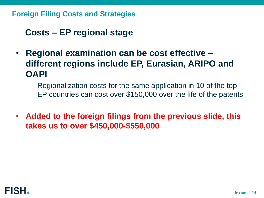# **Costs – EP regional stage**

- **Regional examination can be cost effective – different regions include EP, Eurasian, ARIPO and OAPI** 
	- Regionalization costs for the same application in 10 of the top EP countries can cost over \$150,000 over the life of the patents
- **Added to the foreign filings from the previous slide, this takes us to over \$450,000-\$550,000**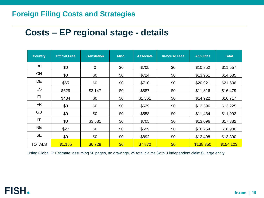## **Costs – EP regional stage - details**

| <b>Country</b> | <b>Official Fees</b> | <b>Translation</b> | Misc. | <b>Associate</b> | <b>In-house Fees</b> | <b>Annuities</b> | <b>Total</b> |
|----------------|----------------------|--------------------|-------|------------------|----------------------|------------------|--------------|
| BE             | \$0                  | 0                  | \$0   | \$705            | \$0                  | \$10,852         | \$11,557     |
| <b>CH</b>      | \$0                  | \$0                | \$0   | \$724            | \$0                  | \$13,961         | \$14,685     |
| DE             | \$65                 | \$0                | \$0   | \$710            | \$0                  | \$20,921         | \$21,696     |
| ES             | \$629                | \$3,147            | \$0   | \$887            | \$0                  | \$11,816         | \$16,479     |
| FI             | \$434                | \$0                | \$0   | \$1,361          | \$0                  | \$14,922         | \$16,717     |
| FR.            | \$0                  | \$0                | \$0   | \$629            | \$0                  | \$12,596         | \$13,225     |
| <b>GB</b>      | \$0                  | \$0                | \$0   | \$558            | \$0                  | \$11,434         | \$11,992     |
| IT             | \$0                  | \$3,581            | \$0   | \$705            | \$0                  | \$13,096         | \$17,382     |
| <b>NE</b>      | \$27                 | \$0                | \$0   | \$699            | \$0                  | \$16,254         | \$16,980     |
| <b>SE</b>      | \$0                  | \$0                | \$0   | \$892            | \$0                  | \$12,498         | \$13,390     |
| <b>TOTALS</b>  | \$1,155              | \$6,728            | \$0   | \$7,870          | \$0                  | \$138,350        | \$154,103    |

Using Global IP Estimate; assuming 50 pages, no drawings, 25 total claims (with 3 independent claims), large entity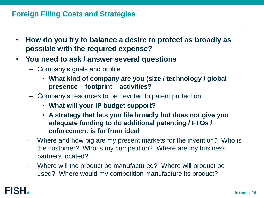- **How do you try to balance a desire to protect as broadly as possible with the required expense?**
- **You need to ask / answer several questions**
	- Company's goals and profile
		- **What kind of company are you (size / technology / global presence – footprint – activities?**
	- Company's resources to be devoted to patent protection
		- **What will your IP budget support?**
		- **A strategy that lets you file broadly but does not give you adequate funding to do additional patenting / FTOs / enforcement is far from ideal**
	- Where and how big are my present markets for the invention? Who is the customer? Who is my competition? Where are my business partners located?
	- Where will the product be manufactured? Where will product be used? Where would my competition manufacture its product?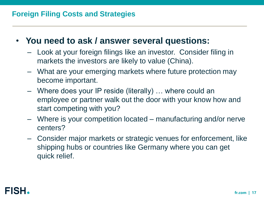- **You need to ask / answer several questions:**
	- Look at your foreign filings like an investor. Consider filing in markets the investors are likely to value (China).
	- What are your emerging markets where future protection may become important.
	- Where does your IP reside (literally) … where could an employee or partner walk out the door with your know how and start competing with you?
	- Where is your competition located manufacturing and/or nerve centers?
	- Consider major markets or strategic venues for enforcement, like shipping hubs or countries like Germany where you can get quick relief.

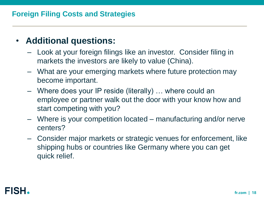# • **Additional questions:**

- Look at your foreign filings like an investor. Consider filing in markets the investors are likely to value (China).
- What are your emerging markets where future protection may become important.
- Where does your IP reside (literally) … where could an employee or partner walk out the door with your know how and start competing with you?
- Where is your competition located manufacturing and/or nerve centers?
- Consider major markets or strategic venues for enforcement, like shipping hubs or countries like Germany where you can get quick relief.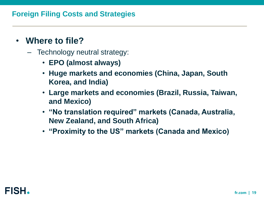- **Where to file?**
	- Technology neutral strategy:
		- **EPO (almost always)**
		- **Huge markets and economies (China, Japan, South Korea, and India)**
		- **Large markets and economies (Brazil, Russia, Taiwan, and Mexico)**
		- **"No translation required" markets (Canada, Australia, New Zealand, and South Africa)**
		- **"Proximity to the US" markets (Canada and Mexico)**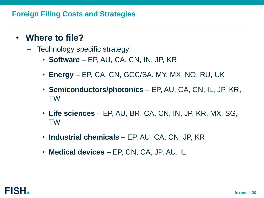- **Where to file?**
	- Technology specific strategy:
		- **Software**  EP, AU, CA, CN, IN, JP, KR
		- **Energy**  EP, CA, CN, GCC/SA, MY, MX, NO, RU, UK
		- **Semiconductors/photonics**  EP, AU, CA, CN, IL, JP, KR, TW
		- **Life sciences**  EP, AU, BR, CA, CN, IN, JP, KR, MX, SG, TW
		- **Industrial chemicals**  EP, AU, CA, CN, JP, KR
		- **Medical devices** EP, CN, CA, JP, AU, IL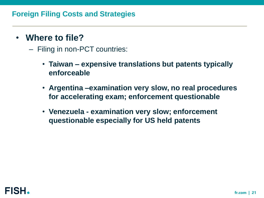## • **Where to file?**

- Filing in non-PCT countries:
	- **Taiwan – expensive translations but patents typically enforceable**
	- **Argentina –examination very slow, no real procedures for accelerating exam; enforcement questionable**
	- **Venezuela - examination very slow; enforcement questionable especially for US held patents**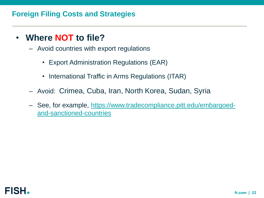## • **Where NOT to file?**

- Avoid countries with export regulations
	- Export Administration Regulations (EAR)
	- International Traffic in Arms Regulations (ITAR)
- Avoid: Crimea, Cuba, Iran, North Korea, Sudan, Syria
- [See, for example, https://www.tradecompliance.pitt.edu/embargoed](https://www.tradecompliance.pitt.edu/embargoed-and-sanctioned-countries)and-sanctioned-countries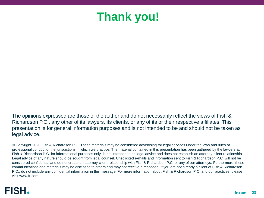# **Thank you!**

The opinions expressed are those of the author and do not necessarily reflect the views of Fish & Richardson P.C., any other of its lawyers, its clients, or any of its or their respective affiliates. This presentation is for general information purposes and is not intended to be and should not be taken as legal advice.

© Copyright 2020 Fish & Richardson P.C. These materials may be considered advertising for legal services under the laws and rules of professional conduct of the jurisdictions in which we practice. The material contained in this presentation has been gathered by the lawyers at Fish & Richardson P.C. for informational purposes only, is not intended to be legal advice and does not establish an attorney-client relationship. Legal advice of any nature should be sought from legal counsel. Unsolicited e-mails and information sent to Fish & Richardson P.C. will not be considered confidential and do not create an attorney-client relationship with Fish & Richardson P.C. or any of our attorneys. Furthermore, these communications and materials may be disclosed to others and may not receive a response. If you are not already a client of Fish & Richardson P.C., do not include any confidential information in this message. For more information about Fish & Richardson P.C. and our practices, please visit www.fr.com.

## FISH.